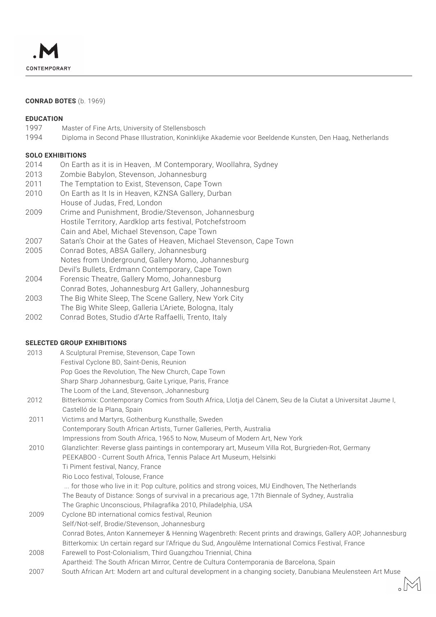

## **CONRAD BOTES** (b. 1969)

#### **EDUCATION**

- 1997 Master of Fine Arts, University of Stellensbosch
- 1994 Diploma in Second Phase Illustration, Koninklijke Akademie voor Beeldende Kunsten, Den Haag, Netherlands

## **SOLO EXHIBITIONS**

- 2014 On Earth as it is in Heaven, .M Contemporary, Woollahra, Sydney
- 2013 Zombie Babylon, Stevenson, Johannesburg
- 2011 The Temptation to Exist, Stevenson, Cape Town
- 2010 On Earth as It Is in Heaven, KZNSA Gallery, Durban House of Judas, Fred, London
- 2009 Crime and Punishment, Brodie/Stevenson, Johannesburg Hostile Territory, Aardklop arts festival, Potchefstroom Cain and Abel, Michael Stevenson, Cape Town
- 2007 Satan's Choir at the Gates of Heaven, Michael Stevenson, Cape Town
- 2005 Conrad Botes, ABSA Gallery, Johannesburg Notes from Underground, Gallery Momo, Johannesburg Devil's Bullets, Erdmann Contemporary, Cape Town
- 2004 Forensic Theatre, Gallery Momo, Johannesburg Conrad Botes, Johannesburg Art Gallery, Johannesburg
- 2003 The Big White Sleep, The Scene Gallery, New York City
- The Big White Sleep, Galleria L'Ariete, Bologna, Italy
- 2002 Conrad Botes, Studio d'Arte Raffaelli, Trento, Italy

# **SELECTED GROUP EXHIBITIONS**

| 2013 | A Sculptural Premise, Stevenson, Cape Town                                                                    |
|------|---------------------------------------------------------------------------------------------------------------|
|      | Festival Cyclone BD, Saint-Denis, Reunion                                                                     |
|      | Pop Goes the Revolution, The New Church, Cape Town                                                            |
|      | Sharp Sharp Johannesburg, Gaite Lyrique, Paris, France                                                        |
|      | The Loom of the Land, Stevenson, Johannesburg                                                                 |
| 2012 | Bitterkomix: Contemporary Comics from South Africa, Llotja del Cànem, Seu de la Ciutat a Universitat Jaume I, |
|      | Castelló de la Plana, Spain                                                                                   |
| 2011 | Victims and Martyrs, Gothenburg Kunsthalle, Sweden                                                            |
|      | Contemporary South African Artists, Turner Galleries, Perth, Australia                                        |
|      | Impressions from South Africa, 1965 to Now, Museum of Modern Art, New York                                    |
| 2010 | Glanzlichter: Reverse glass paintings in contemporary art, Museum Villa Rot, Burgrieden-Rot, Germany          |
|      | PEEKABOO - Current South Africa, Tennis Palace Art Museum, Helsinki                                           |
|      | Ti Piment festival, Nancy, France                                                                             |
|      | Rio Loco festival, Tolouse, France                                                                            |
|      | for those who live in it: Pop culture, politics and strong voices, MU Eindhoven, The Netherlands              |
|      | The Beauty of Distance: Songs of survival in a precarious age, 17th Biennale of Sydney, Australia             |
|      | The Graphic Unconscious, Philagrafika 2010, Philadelphia, USA                                                 |
| 2009 | Cyclone BD international comics festival, Reunion                                                             |
|      | Self/Not-self, Brodie/Stevenson, Johannesburg                                                                 |
|      | Conrad Botes, Anton Kannemeyer & Henning Wagenbreth: Recent prints and drawings, Gallery AOP, Johannesburg    |
|      | Bitterkomix: Un certain regard sur l'Afrique du Sud, Angoulême International Comics Festival, France          |
| 2008 | Farewell to Post-Colonialism, Third Guangzhou Triennial, China                                                |
|      | Apartheid: The South African Mirror, Centre de Cultura Contemporania de Barcelona, Spain                      |
| 2007 | South African Art: Modern art and cultural development in a changing society, Danubiana Meulensteen Art Muse  |
|      |                                                                                                               |